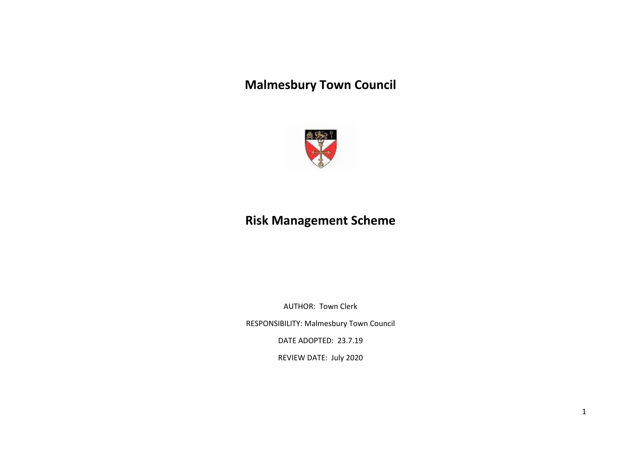## **Malmesbury Town Council**



## **Risk Management Scheme**

AUTHOR: Town Clerk

RESPONSIBILITY: Malmesbury Town Council

DATE ADOPTED: 23.7.19

REVIEW DATE: July 2020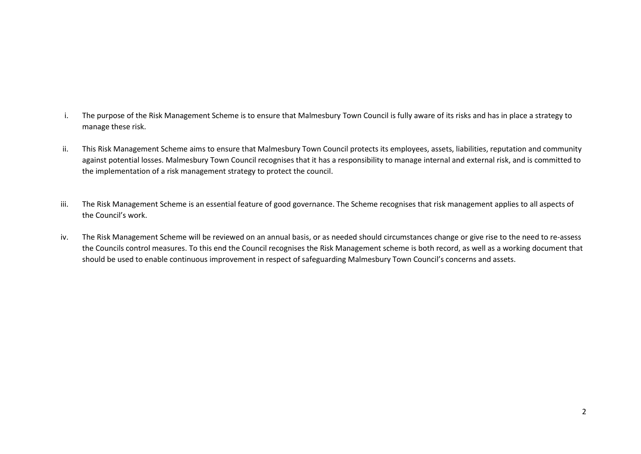- i. The purpose of the Risk Management Scheme is to ensure that Malmesbury Town Council is fully aware of its risks and has in place a strategy to manage these risk.
- ii. This Risk Management Scheme aims to ensure that Malmesbury Town Council protects its employees, assets, liabilities, reputation and community against potential losses. Malmesbury Town Council recognises that it has a responsibility to manage internal and external risk, and is committed to the implementation of a risk management strategy to protect the council.
- iii. The Risk Management Scheme is an essential feature of good governance. The Scheme recognises that risk management applies to all aspects of the Council's work.
- iv. The Risk Management Scheme will be reviewed on an annual basis, or as needed should circumstances change or give rise to the need to re-assess the Councils control measures. To this end the Council recognises the Risk Management scheme is both record, as well as a working document that should be used to enable continuous improvement in respect of safeguarding Malmesbury Town Council's concerns and assets.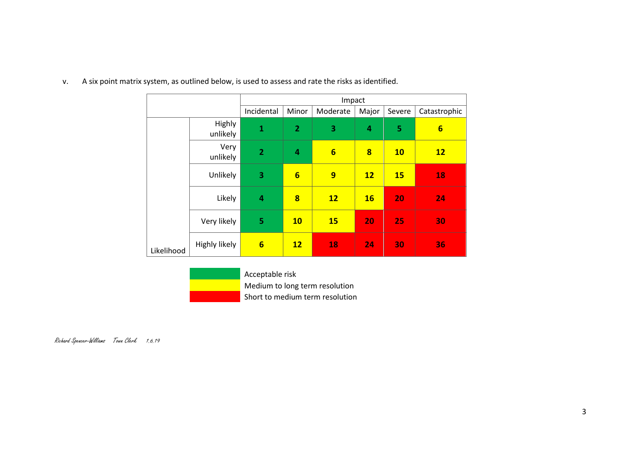|            |                    |                 |                | Impact          |           |           |                 |
|------------|--------------------|-----------------|----------------|-----------------|-----------|-----------|-----------------|
|            |                    | Incidental      | Minor          | Moderate        | Major     | Severe    | Catastrophic    |
|            | Highly<br>unlikely | $\mathbf{1}$    | $\overline{2}$ | 3               | 4         | 5         | $6\phantom{1}6$ |
|            | Very<br>unlikely   | $\overline{2}$  | 4              | $6\overline{6}$ | 8         | <b>10</b> | 12              |
|            | Unlikely           | 3               | $6\overline{}$ | 9               | 12        | <b>15</b> | 18              |
|            | Likely             | $\overline{4}$  | 8              | 12              | <b>16</b> | 20        | 24              |
|            | Very likely        | 5               | <b>10</b>      | <b>15</b>       | 20        | 25        | 30              |
| Likelihood | Highly likely      | $6\phantom{1}6$ | 12             | 18              | 24        | 30        | 36              |

v. A six point matrix system, as outlined below, is used to assess and rate the risks as identified.

Acceptable risk Medium to long term resolution Short to medium term resolution

Richard Spencer-Williams Town Clerk 1.6.19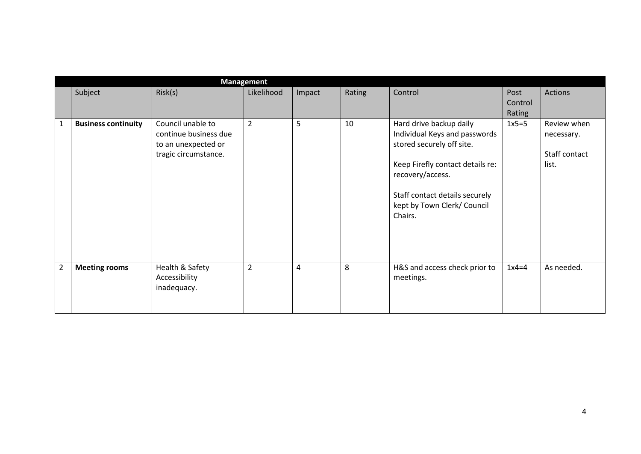|                |                            |                                                                                           | <b>Management</b> |        |        |                                                                                                                                                                                                                           |                           |                                                     |
|----------------|----------------------------|-------------------------------------------------------------------------------------------|-------------------|--------|--------|---------------------------------------------------------------------------------------------------------------------------------------------------------------------------------------------------------------------------|---------------------------|-----------------------------------------------------|
|                | Subject                    | Risk(s)                                                                                   | Likelihood        | Impact | Rating | Control                                                                                                                                                                                                                   | Post<br>Control<br>Rating | Actions                                             |
| $\mathbf{1}$   | <b>Business continuity</b> | Council unable to<br>continue business due<br>to an unexpected or<br>tragic circumstance. | $\overline{2}$    | 5      | 10     | Hard drive backup daily<br>Individual Keys and passwords<br>stored securely off site.<br>Keep Firefly contact details re:<br>recovery/access.<br>Staff contact details securely<br>kept by Town Clerk/ Council<br>Chairs. | $1x5=5$                   | Review when<br>necessary.<br>Staff contact<br>list. |
| $\overline{2}$ | <b>Meeting rooms</b>       | Health & Safety<br>Accessibility<br>inadequacy.                                           | $\overline{2}$    | 4      | 8      | H&S and access check prior to<br>meetings.                                                                                                                                                                                | $1x4=4$                   | As needed.                                          |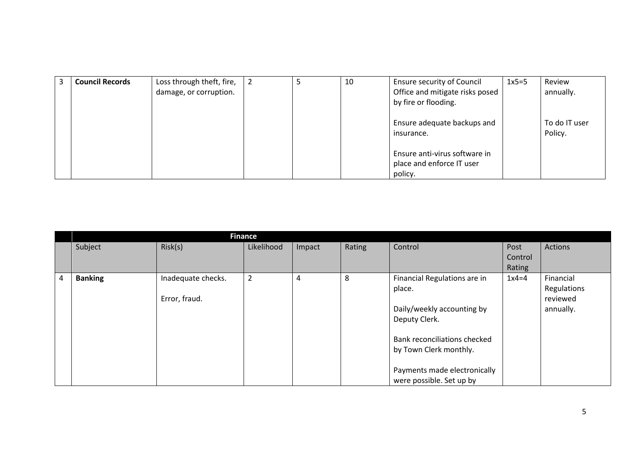| 3 | <b>Council Records</b> | Loss through theft, fire,<br>damage, or corruption. | $\overline{2}$ | 10 | <b>Ensure security of Council</b><br>Office and mitigate risks posed<br>by fire or flooding. | $1x5=5$ | Review<br>annually.      |
|---|------------------------|-----------------------------------------------------|----------------|----|----------------------------------------------------------------------------------------------|---------|--------------------------|
|   |                        |                                                     |                |    | Ensure adequate backups and<br>insurance.                                                    |         | To do IT user<br>Policy. |
|   |                        |                                                     |                |    | Ensure anti-virus software in<br>place and enforce IT user<br>policy.                        |         |                          |

|   | <b>Finance</b> |                                     |                |        |        |                                                                                                                                                                                                             |                           |                                                   |  |  |  |  |
|---|----------------|-------------------------------------|----------------|--------|--------|-------------------------------------------------------------------------------------------------------------------------------------------------------------------------------------------------------------|---------------------------|---------------------------------------------------|--|--|--|--|
|   | Subject        | Risk(s)                             | Likelihood     | Impact | Rating | Control                                                                                                                                                                                                     | Post<br>Control<br>Rating | <b>Actions</b>                                    |  |  |  |  |
| 4 | <b>Banking</b> | Inadequate checks.<br>Error, fraud. | $\overline{2}$ | 4      | 8      | Financial Regulations are in<br>place.<br>Daily/weekly accounting by<br>Deputy Clerk.<br>Bank reconciliations checked<br>by Town Clerk monthly.<br>Payments made electronically<br>were possible. Set up by | $1x4=4$                   | Financial<br>Regulations<br>reviewed<br>annually. |  |  |  |  |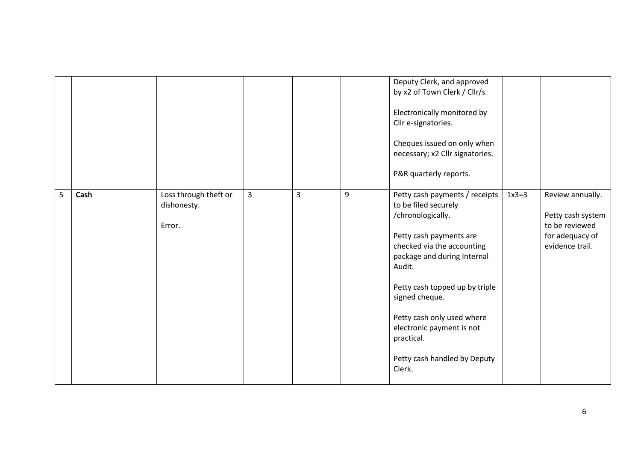|   |      |                                                |   |                |   | Deputy Clerk, and approved<br>by x2 of Town Clerk / Cllr/s.<br>Electronically monitored by<br>Cllr e-signatories.<br>Cheques issued on only when<br>necessary; x2 Cllr signatories.<br>P&R quarterly reports.                                                                                                                                        |         |                                                                                               |
|---|------|------------------------------------------------|---|----------------|---|------------------------------------------------------------------------------------------------------------------------------------------------------------------------------------------------------------------------------------------------------------------------------------------------------------------------------------------------------|---------|-----------------------------------------------------------------------------------------------|
| 5 | Cash | Loss through theft or<br>dishonesty.<br>Error. | 3 | $\overline{3}$ | 9 | Petty cash payments / receipts<br>to be filed securely<br>/chronologically.<br>Petty cash payments are<br>checked via the accounting<br>package and during Internal<br>Audit.<br>Petty cash topped up by triple<br>signed cheque.<br>Petty cash only used where<br>electronic payment is not<br>practical.<br>Petty cash handled by Deputy<br>Clerk. | $1x3=3$ | Review annually.<br>Petty cash system<br>to be reviewed<br>for adequacy of<br>evidence trail. |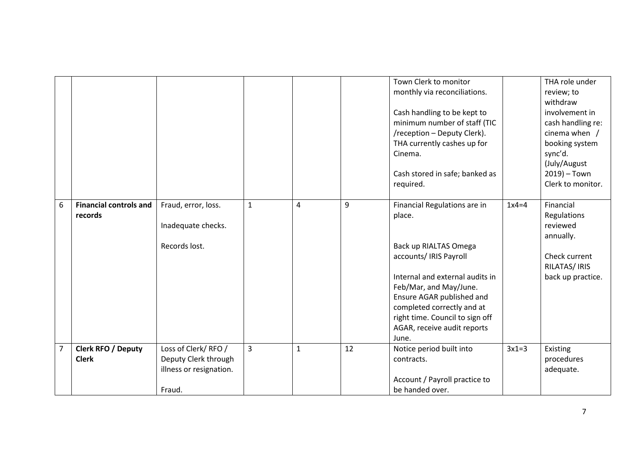|                |                                           |                                                                                 |                |             |    | Town Clerk to monitor<br>monthly via reconciliations.<br>Cash handling to be kept to<br>minimum number of staff (TIC<br>/reception - Deputy Clerk).<br>THA currently cashes up for<br>Cinema.                                                                                       |         | THA role under<br>review; to<br>withdraw<br>involvement in<br>cash handling re:<br>cinema when $/$<br>booking system<br>sync'd.<br>(July/August |
|----------------|-------------------------------------------|---------------------------------------------------------------------------------|----------------|-------------|----|-------------------------------------------------------------------------------------------------------------------------------------------------------------------------------------------------------------------------------------------------------------------------------------|---------|-------------------------------------------------------------------------------------------------------------------------------------------------|
|                |                                           |                                                                                 |                |             |    | Cash stored in safe; banked as<br>required.                                                                                                                                                                                                                                         |         | $2019$ ) – Town<br>Clerk to monitor.                                                                                                            |
| 6              | <b>Financial controls and</b><br>records  | Fraud, error, loss.<br>Inadequate checks.<br>Records lost.                      | $\mathbf{1}$   | 4           | 9  | Financial Regulations are in<br>place.<br>Back up RIALTAS Omega<br>accounts/ IRIS Payroll<br>Internal and external audits in<br>Feb/Mar, and May/June.<br>Ensure AGAR published and<br>completed correctly and at<br>right time. Council to sign off<br>AGAR, receive audit reports | $1x4=4$ | Financial<br>Regulations<br>reviewed<br>annually.<br>Check current<br>RILATAS/IRIS<br>back up practice.                                         |
| $\overline{7}$ | <b>Clerk RFO / Deputy</b><br><b>Clerk</b> | Loss of Clerk/RFO/<br>Deputy Clerk through<br>illness or resignation.<br>Fraud. | $\overline{3}$ | $\mathbf 1$ | 12 | June.<br>Notice period built into<br>contracts.<br>Account / Payroll practice to<br>be handed over.                                                                                                                                                                                 | $3x1=3$ | Existing<br>procedures<br>adequate.                                                                                                             |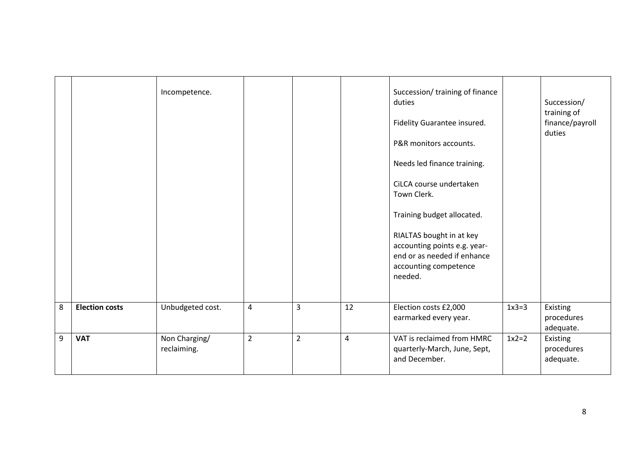|                |                       | Incompetence.                |                |                |                | Succession/ training of finance<br>duties<br>Fidelity Guarantee insured.<br>P&R monitors accounts.<br>Needs led finance training.<br>CiLCA course undertaken<br>Town Clerk.<br>Training budget allocated.<br>RIALTAS bought in at key<br>accounting points e.g. year-<br>end or as needed if enhance<br>accounting competence<br>needed. |         | Succession/<br>training of<br>finance/payroll<br>duties |
|----------------|-----------------------|------------------------------|----------------|----------------|----------------|------------------------------------------------------------------------------------------------------------------------------------------------------------------------------------------------------------------------------------------------------------------------------------------------------------------------------------------|---------|---------------------------------------------------------|
| 8              | <b>Election costs</b> | Unbudgeted cost.             | 4              | $\overline{3}$ | 12             | Election costs £2,000<br>earmarked every year.                                                                                                                                                                                                                                                                                           | $1x3=3$ | Existing<br>procedures<br>adequate.                     |
| $\overline{9}$ | <b>VAT</b>            | Non Charging/<br>reclaiming. | $\overline{2}$ | $\overline{2}$ | $\overline{4}$ | VAT is reclaimed from HMRC<br>quarterly-March, June, Sept,<br>and December.                                                                                                                                                                                                                                                              | $1x2=2$ | Existing<br>procedures<br>adequate.                     |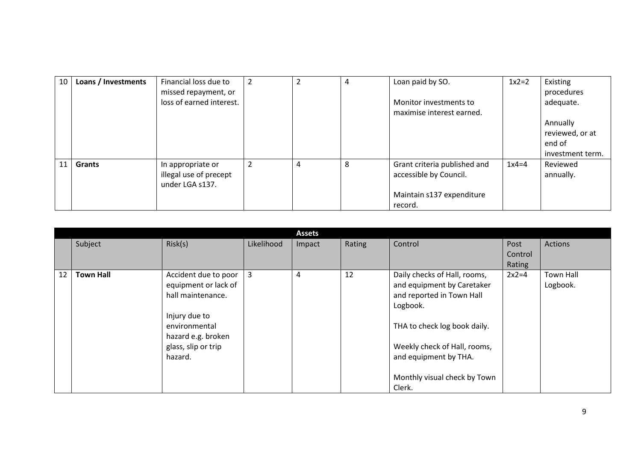| 10 | Loans / Investments | Financial loss due to<br>missed repayment, or | 2              | $\overline{2}$ | 4 | Loan paid by SO.                                    | $1x2=2$ | Existing<br>procedures |
|----|---------------------|-----------------------------------------------|----------------|----------------|---|-----------------------------------------------------|---------|------------------------|
|    |                     | loss of earned interest.                      |                |                |   | Monitor investments to<br>maximise interest earned. |         | adequate.              |
|    |                     |                                               |                |                |   |                                                     |         | Annually               |
|    |                     |                                               |                |                |   |                                                     |         | reviewed, or at        |
|    |                     |                                               |                |                |   |                                                     |         | end of                 |
|    |                     |                                               |                |                |   |                                                     |         | investment term.       |
| 11 | <b>Grants</b>       | In appropriate or                             | $\overline{2}$ | 4              | 8 | Grant criteria published and                        | $1x4=4$ | Reviewed               |
|    |                     | illegal use of precept                        |                |                |   | accessible by Council.                              |         | annually.              |
|    |                     | under LGA s137.                               |                |                |   |                                                     |         |                        |
|    |                     |                                               |                |                |   | Maintain s137 expenditure                           |         |                        |
|    |                     |                                               |                |                |   | record.                                             |         |                        |

|    |                  |                                                                                                                                                             |            | <b>Assets</b> |        |                                                                                                                                                                                                                                        |                           |                       |
|----|------------------|-------------------------------------------------------------------------------------------------------------------------------------------------------------|------------|---------------|--------|----------------------------------------------------------------------------------------------------------------------------------------------------------------------------------------------------------------------------------------|---------------------------|-----------------------|
|    | Subject          | Risk(s)                                                                                                                                                     | Likelihood | Impact        | Rating | Control                                                                                                                                                                                                                                | Post<br>Control<br>Rating | Actions               |
| 12 | <b>Town Hall</b> | Accident due to poor<br>equipment or lack of<br>hall maintenance.<br>Injury due to<br>environmental<br>hazard e.g. broken<br>glass, slip or trip<br>hazard. | 3          | 4             | 12     | Daily checks of Hall, rooms,<br>and equipment by Caretaker<br>and reported in Town Hall<br>Logbook.<br>THA to check log book daily.<br>Weekly check of Hall, rooms,<br>and equipment by THA.<br>Monthly visual check by Town<br>Clerk. | $2x2=4$                   | Town Hall<br>Logbook. |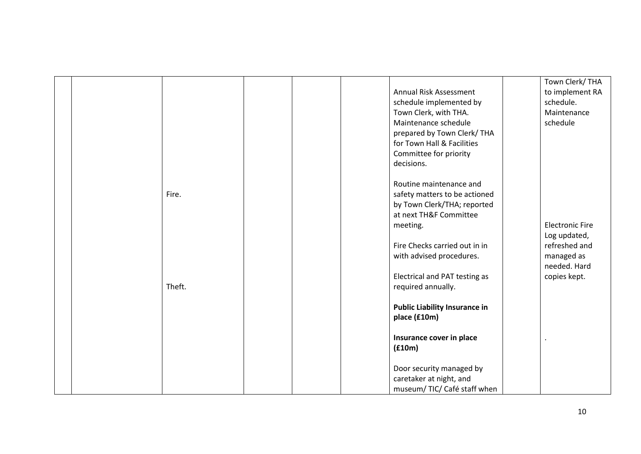|        |                                      | Town Clerk/THA         |
|--------|--------------------------------------|------------------------|
|        | Annual Risk Assessment               | to implement RA        |
|        | schedule implemented by              | schedule.              |
|        | Town Clerk, with THA.                | Maintenance            |
|        | Maintenance schedule                 | schedule               |
|        | prepared by Town Clerk/THA           |                        |
|        | for Town Hall & Facilities           |                        |
|        | Committee for priority               |                        |
|        | decisions.                           |                        |
|        | Routine maintenance and              |                        |
| Fire.  | safety matters to be actioned        |                        |
|        | by Town Clerk/THA; reported          |                        |
|        | at next TH&F Committee               |                        |
|        | meeting.                             | <b>Electronic Fire</b> |
|        |                                      | Log updated,           |
|        | Fire Checks carried out in in        | refreshed and          |
|        | with advised procedures.             | managed as             |
|        |                                      | needed. Hard           |
|        | Electrical and PAT testing as        | copies kept.           |
| Theft. | required annually.                   |                        |
|        | <b>Public Liability Insurance in</b> |                        |
|        | place (£10m)                         |                        |
|        | Insurance cover in place             |                        |
|        | (f10m)                               |                        |
|        | Door security managed by             |                        |
|        | caretaker at night, and              |                        |
|        | museum/ TIC/ Café staff when         |                        |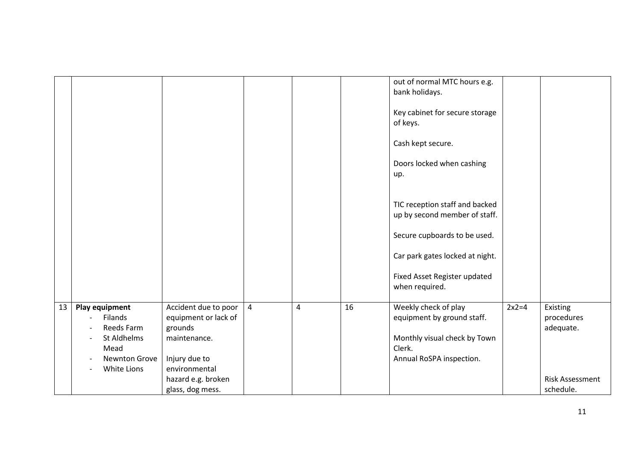|    |                                                                                                |                                                                                                           |                |   |    | out of normal MTC hours e.g.<br>bank holidays.                                                                           |         |                                     |
|----|------------------------------------------------------------------------------------------------|-----------------------------------------------------------------------------------------------------------|----------------|---|----|--------------------------------------------------------------------------------------------------------------------------|---------|-------------------------------------|
|    |                                                                                                |                                                                                                           |                |   |    | Key cabinet for secure storage<br>of keys.                                                                               |         |                                     |
|    |                                                                                                |                                                                                                           |                |   |    | Cash kept secure.                                                                                                        |         |                                     |
|    |                                                                                                |                                                                                                           |                |   |    | Doors locked when cashing<br>up.                                                                                         |         |                                     |
|    |                                                                                                |                                                                                                           |                |   |    | TIC reception staff and backed<br>up by second member of staff.                                                          |         |                                     |
|    |                                                                                                |                                                                                                           |                |   |    | Secure cupboards to be used.                                                                                             |         |                                     |
|    |                                                                                                |                                                                                                           |                |   |    | Car park gates locked at night.                                                                                          |         |                                     |
|    |                                                                                                |                                                                                                           |                |   |    | Fixed Asset Register updated<br>when required.                                                                           |         |                                     |
| 13 | Play equipment<br>Filands<br>Reeds Farm<br>St Aldhelms<br>Mead<br>Newnton Grove<br>White Lions | Accident due to poor<br>equipment or lack of<br>grounds<br>maintenance.<br>Injury due to<br>environmental | $\overline{4}$ | 4 | 16 | Weekly check of play<br>equipment by ground staff.<br>Monthly visual check by Town<br>Clerk.<br>Annual RoSPA inspection. | $2x2=4$ | Existing<br>procedures<br>adequate. |
|    |                                                                                                | hazard e.g. broken<br>glass, dog mess.                                                                    |                |   |    |                                                                                                                          |         | <b>Risk Assessment</b><br>schedule. |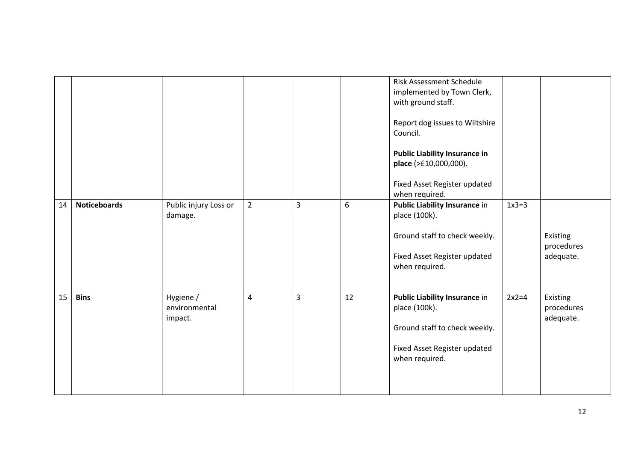|    |                     |                       |                |                |    | <b>Risk Assessment Schedule</b>      |         |            |
|----|---------------------|-----------------------|----------------|----------------|----|--------------------------------------|---------|------------|
|    |                     |                       |                |                |    | implemented by Town Clerk,           |         |            |
|    |                     |                       |                |                |    | with ground staff.                   |         |            |
|    |                     |                       |                |                |    |                                      |         |            |
|    |                     |                       |                |                |    | Report dog issues to Wiltshire       |         |            |
|    |                     |                       |                |                |    | Council.                             |         |            |
|    |                     |                       |                |                |    |                                      |         |            |
|    |                     |                       |                |                |    | <b>Public Liability Insurance in</b> |         |            |
|    |                     |                       |                |                |    |                                      |         |            |
|    |                     |                       |                |                |    | place (>£10,000,000).                |         |            |
|    |                     |                       |                |                |    | Fixed Asset Register updated         |         |            |
|    |                     |                       |                |                |    | when required.                       |         |            |
|    |                     |                       |                |                |    |                                      | $1x3=3$ |            |
| 14 | <b>Noticeboards</b> | Public injury Loss or | $\overline{2}$ | $\overline{3}$ | 6  | <b>Public Liability Insurance in</b> |         |            |
|    |                     | damage.               |                |                |    | place (100k).                        |         |            |
|    |                     |                       |                |                |    |                                      |         |            |
|    |                     |                       |                |                |    | Ground staff to check weekly.        |         | Existing   |
|    |                     |                       |                |                |    |                                      |         | procedures |
|    |                     |                       |                |                |    | Fixed Asset Register updated         |         | adequate.  |
|    |                     |                       |                |                |    | when required.                       |         |            |
|    |                     |                       |                |                |    |                                      |         |            |
|    |                     |                       |                |                |    |                                      |         |            |
| 15 | <b>Bins</b>         | Hygiene /             | 4              | $\overline{3}$ | 12 | <b>Public Liability Insurance in</b> | $2x2=4$ | Existing   |
|    |                     | environmental         |                |                |    | place (100k).                        |         | procedures |
|    |                     | impact.               |                |                |    |                                      |         | adequate.  |
|    |                     |                       |                |                |    | Ground staff to check weekly.        |         |            |
|    |                     |                       |                |                |    |                                      |         |            |
|    |                     |                       |                |                |    | Fixed Asset Register updated         |         |            |
|    |                     |                       |                |                |    |                                      |         |            |
|    |                     |                       |                |                |    | when required.                       |         |            |
|    |                     |                       |                |                |    |                                      |         |            |
|    |                     |                       |                |                |    |                                      |         |            |
|    |                     |                       |                |                |    |                                      |         |            |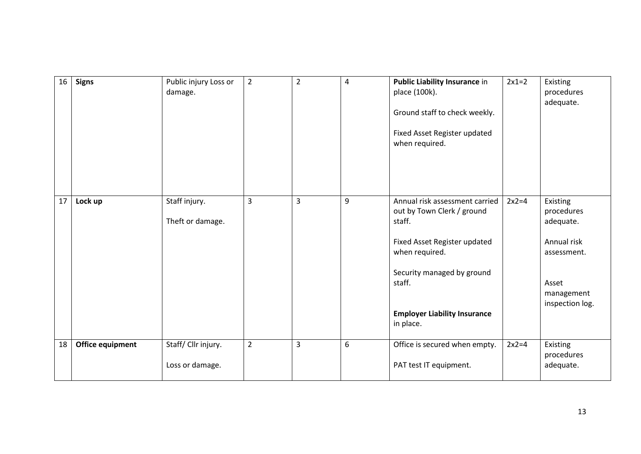| 16 | <b>Signs</b>     | Public injury Loss or<br>damage.       | $\overline{2}$ | $\overline{2}$ | 4 | <b>Public Liability Insurance in</b><br>place (100k).<br>Ground staff to check weekly.<br>Fixed Asset Register updated<br>when required.                                                                             | $2x1=2$ | Existing<br>procedures<br>adequate.                                                                         |
|----|------------------|----------------------------------------|----------------|----------------|---|----------------------------------------------------------------------------------------------------------------------------------------------------------------------------------------------------------------------|---------|-------------------------------------------------------------------------------------------------------------|
| 17 | Lock up          | Staff injury.<br>Theft or damage.      | $\overline{3}$ | $\overline{3}$ | 9 | Annual risk assessment carried<br>out by Town Clerk / ground<br>staff.<br>Fixed Asset Register updated<br>when required.<br>Security managed by ground<br>staff.<br><b>Employer Liability Insurance</b><br>in place. | $2x2=4$ | Existing<br>procedures<br>adequate.<br>Annual risk<br>assessment.<br>Asset<br>management<br>inspection log. |
| 18 | Office equipment | Staff/ Cllr injury.<br>Loss or damage. | $\overline{2}$ | $\overline{3}$ | 6 | Office is secured when empty.<br>PAT test IT equipment.                                                                                                                                                              | $2x2=4$ | Existing<br>procedures<br>adequate.                                                                         |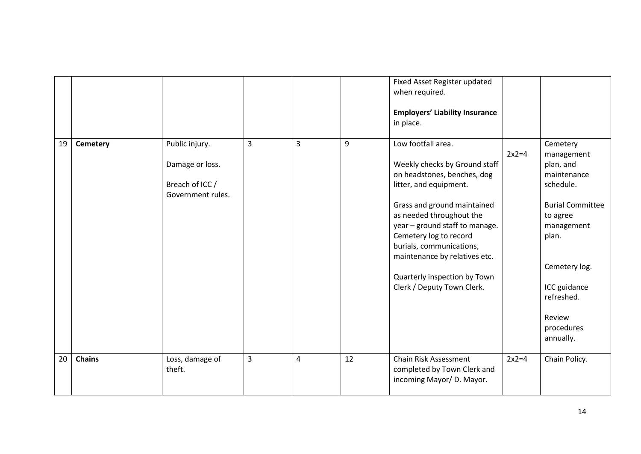|    |                 |                                                                           |                |                |    | Fixed Asset Register updated<br>when required.<br><b>Employers' Liability Insurance</b><br>in place.                                                                                                                                                                                                                                                           |         |                                                                                                                                                                                                                   |
|----|-----------------|---------------------------------------------------------------------------|----------------|----------------|----|----------------------------------------------------------------------------------------------------------------------------------------------------------------------------------------------------------------------------------------------------------------------------------------------------------------------------------------------------------------|---------|-------------------------------------------------------------------------------------------------------------------------------------------------------------------------------------------------------------------|
| 19 | <b>Cemetery</b> | Public injury.<br>Damage or loss.<br>Breach of ICC /<br>Government rules. | $\overline{3}$ | $\overline{3}$ | 9  | Low footfall area.<br>Weekly checks by Ground staff<br>on headstones, benches, dog<br>litter, and equipment.<br>Grass and ground maintained<br>as needed throughout the<br>year - ground staff to manage.<br>Cemetery log to record<br>burials, communications,<br>maintenance by relatives etc.<br>Quarterly inspection by Town<br>Clerk / Deputy Town Clerk. | $2x2=4$ | Cemetery<br>management<br>plan, and<br>maintenance<br>schedule.<br><b>Burial Committee</b><br>to agree<br>management<br>plan.<br>Cemetery log.<br>ICC guidance<br>refreshed.<br>Review<br>procedures<br>annually. |
| 20 | <b>Chains</b>   | Loss, damage of<br>theft.                                                 | $\overline{3}$ | 4              | 12 | <b>Chain Risk Assessment</b><br>completed by Town Clerk and<br>incoming Mayor/ D. Mayor.                                                                                                                                                                                                                                                                       | $2x2=4$ | Chain Policy.                                                                                                                                                                                                     |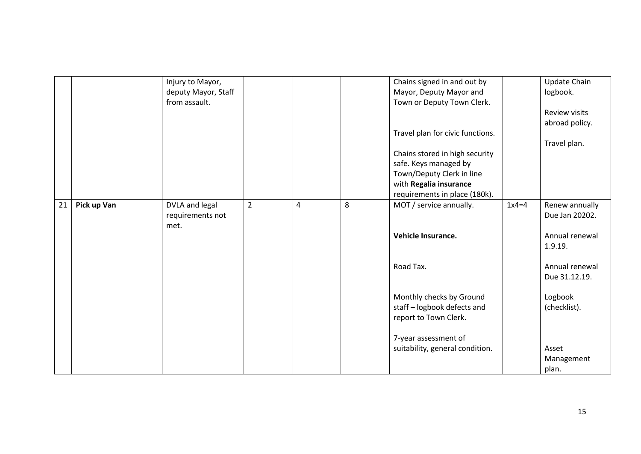|    |             | Injury to Mayor,<br>deputy Mayor, Staff |                |                |   | Chains signed in and out by<br>Mayor, Deputy Mayor and |         | Update Chain<br>logbook. |
|----|-------------|-----------------------------------------|----------------|----------------|---|--------------------------------------------------------|---------|--------------------------|
|    |             | from assault.                           |                |                |   | Town or Deputy Town Clerk.                             |         |                          |
|    |             |                                         |                |                |   |                                                        |         | Review visits            |
|    |             |                                         |                |                |   |                                                        |         |                          |
|    |             |                                         |                |                |   |                                                        |         | abroad policy.           |
|    |             |                                         |                |                |   | Travel plan for civic functions.                       |         |                          |
|    |             |                                         |                |                |   |                                                        |         | Travel plan.             |
|    |             |                                         |                |                |   | Chains stored in high security                         |         |                          |
|    |             |                                         |                |                |   | safe. Keys managed by                                  |         |                          |
|    |             |                                         |                |                |   | Town/Deputy Clerk in line                              |         |                          |
|    |             |                                         |                |                |   | with Regalia insurance                                 |         |                          |
|    |             |                                         |                |                |   | requirements in place (180k).                          |         |                          |
| 21 | Pick up Van | DVLA and legal                          | $\overline{2}$ | $\overline{4}$ | 8 | MOT / service annually.                                | $1x4=4$ | Renew annually           |
|    |             | requirements not                        |                |                |   |                                                        |         | Due Jan 20202.           |
|    |             | met.                                    |                |                |   |                                                        |         |                          |
|    |             |                                         |                |                |   | Vehicle Insurance.                                     |         | Annual renewal           |
|    |             |                                         |                |                |   |                                                        |         | 1.9.19.                  |
|    |             |                                         |                |                |   |                                                        |         |                          |
|    |             |                                         |                |                |   | Road Tax.                                              |         | Annual renewal           |
|    |             |                                         |                |                |   |                                                        |         | Due 31.12.19.            |
|    |             |                                         |                |                |   |                                                        |         |                          |
|    |             |                                         |                |                |   | Monthly checks by Ground                               |         | Logbook                  |
|    |             |                                         |                |                |   | staff - logbook defects and                            |         | (checklist).             |
|    |             |                                         |                |                |   | report to Town Clerk.                                  |         |                          |
|    |             |                                         |                |                |   |                                                        |         |                          |
|    |             |                                         |                |                |   | 7-year assessment of                                   |         |                          |
|    |             |                                         |                |                |   |                                                        |         | Asset                    |
|    |             |                                         |                |                |   | suitability, general condition.                        |         |                          |
|    |             |                                         |                |                |   |                                                        |         | Management               |
|    |             |                                         |                |                |   |                                                        |         | plan.                    |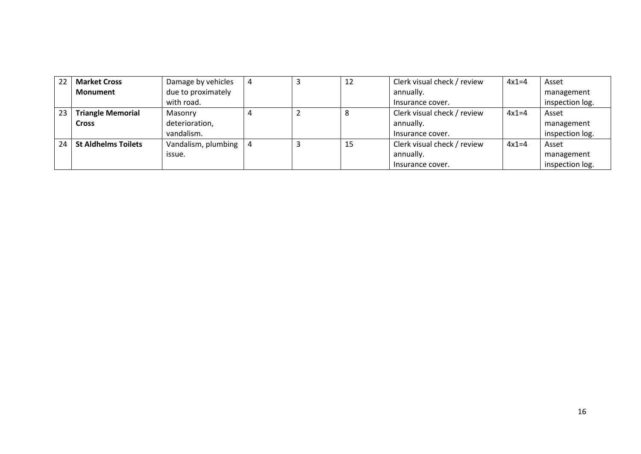| 22 | <b>Market Cross</b>        | Damage by vehicles  | 4 | 12 | Clerk visual check / review | $4x1=4$ | Asset           |
|----|----------------------------|---------------------|---|----|-----------------------------|---------|-----------------|
|    | <b>Monument</b>            | due to proximately  |   |    | annually.                   |         | management      |
|    |                            | with road.          |   |    | Insurance cover.            |         | inspection log. |
| 23 | <b>Triangle Memorial</b>   | Masonry             |   |    | Clerk visual check / review | $4x1=4$ | Asset           |
|    | <b>Cross</b>               | deterioration,      |   |    | annually.                   |         | management      |
|    |                            | vandalism.          |   |    | Insurance cover.            |         | inspection log. |
| 24 | <b>St Aldhelms Toilets</b> | Vandalism, plumbing |   | 15 | Clerk visual check / review | $4x1=4$ | Asset           |
|    |                            | issue.              |   |    | annually.                   |         | management      |
|    |                            |                     |   |    | Insurance cover.            |         | inspection log. |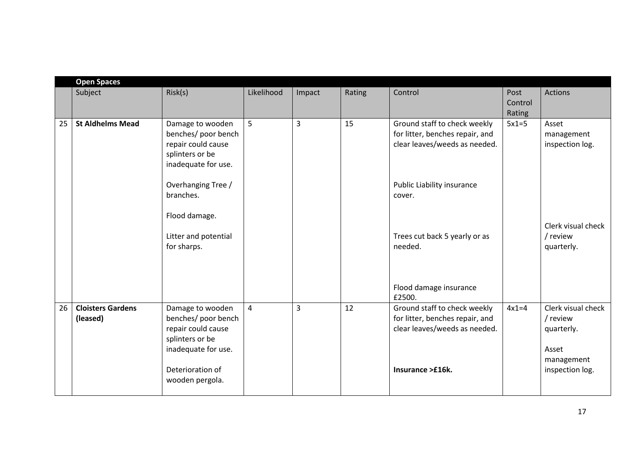|    | <b>Open Spaces</b>                   |                                                                                                                             |                |                |        |                                                                                                                      |                           |                                                                                        |
|----|--------------------------------------|-----------------------------------------------------------------------------------------------------------------------------|----------------|----------------|--------|----------------------------------------------------------------------------------------------------------------------|---------------------------|----------------------------------------------------------------------------------------|
|    | Subject                              | Risk(s)                                                                                                                     | Likelihood     | Impact         | Rating | Control                                                                                                              | Post<br>Control<br>Rating | <b>Actions</b>                                                                         |
| 25 | <b>St Aldhelms Mead</b>              | Damage to wooden<br>benches/ poor bench<br>repair could cause<br>splinters or be<br>inadequate for use.                     | 5              | $\overline{3}$ | 15     | Ground staff to check weekly<br>for litter, benches repair, and<br>clear leaves/weeds as needed.                     | $5x1=5$                   | Asset<br>management<br>inspection log.                                                 |
|    |                                      | Overhanging Tree /<br>branches.<br>Flood damage.                                                                            |                |                |        | Public Liability insurance<br>cover.                                                                                 |                           | Clerk visual check                                                                     |
|    |                                      | Litter and potential<br>for sharps.                                                                                         |                |                |        | Trees cut back 5 yearly or as<br>needed.                                                                             |                           | / review<br>quarterly.                                                                 |
|    |                                      |                                                                                                                             |                |                |        | Flood damage insurance<br>£2500.                                                                                     |                           |                                                                                        |
| 26 | <b>Cloisters Gardens</b><br>(leased) | Damage to wooden<br>benches/ poor bench<br>repair could cause<br>splinters or be<br>inadequate for use.<br>Deterioration of | $\overline{4}$ | 3              | 12     | Ground staff to check weekly<br>for litter, benches repair, and<br>clear leaves/weeds as needed.<br>Insurance >£16k. | $4x1=4$                   | Clerk visual check<br>/ review<br>quarterly.<br>Asset<br>management<br>inspection log. |
|    |                                      | wooden pergola.                                                                                                             |                |                |        |                                                                                                                      |                           |                                                                                        |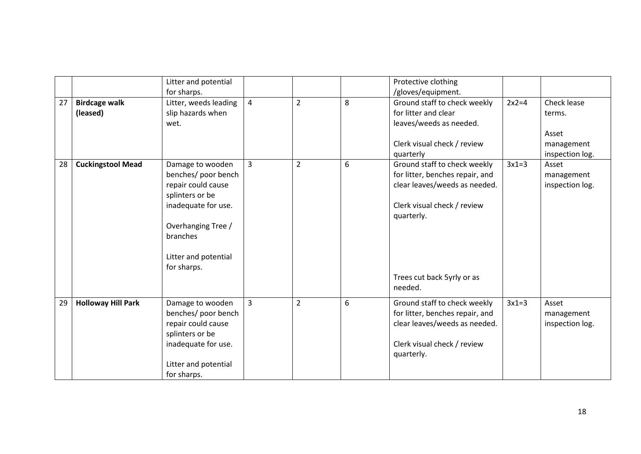|    |                           | Litter and potential  |                |                |   | Protective clothing             |         |                 |
|----|---------------------------|-----------------------|----------------|----------------|---|---------------------------------|---------|-----------------|
|    |                           | for sharps.           |                |                |   | /gloves/equipment.              |         |                 |
| 27 | <b>Birdcage walk</b>      | Litter, weeds leading | $\overline{4}$ | $\overline{2}$ | 8 | Ground staff to check weekly    | $2x2=4$ | Check lease     |
|    | (leased)                  | slip hazards when     |                |                |   | for litter and clear            |         | terms.          |
|    |                           | wet.                  |                |                |   | leaves/weeds as needed.         |         |                 |
|    |                           |                       |                |                |   |                                 |         | Asset           |
|    |                           |                       |                |                |   | Clerk visual check / review     |         | management      |
|    |                           |                       |                |                |   | quarterly                       |         | inspection log. |
| 28 | <b>Cuckingstool Mead</b>  | Damage to wooden      | $\overline{3}$ | $\overline{2}$ | 6 | Ground staff to check weekly    | $3x1=3$ | Asset           |
|    |                           | benches/ poor bench   |                |                |   | for litter, benches repair, and |         | management      |
|    |                           | repair could cause    |                |                |   | clear leaves/weeds as needed.   |         | inspection log. |
|    |                           | splinters or be       |                |                |   |                                 |         |                 |
|    |                           | inadequate for use.   |                |                |   | Clerk visual check / review     |         |                 |
|    |                           |                       |                |                |   | quarterly.                      |         |                 |
|    |                           | Overhanging Tree /    |                |                |   |                                 |         |                 |
|    |                           | branches              |                |                |   |                                 |         |                 |
|    |                           |                       |                |                |   |                                 |         |                 |
|    |                           | Litter and potential  |                |                |   |                                 |         |                 |
|    |                           | for sharps.           |                |                |   |                                 |         |                 |
|    |                           |                       |                |                |   | Trees cut back 5yrly or as      |         |                 |
|    |                           |                       |                |                |   | needed.                         |         |                 |
|    |                           |                       |                |                |   |                                 |         |                 |
| 29 | <b>Holloway Hill Park</b> | Damage to wooden      | $\overline{3}$ | $\overline{2}$ | 6 | Ground staff to check weekly    | $3x1=3$ | Asset           |
|    |                           | benches/ poor bench   |                |                |   | for litter, benches repair, and |         | management      |
|    |                           | repair could cause    |                |                |   | clear leaves/weeds as needed.   |         | inspection log. |
|    |                           | splinters or be       |                |                |   |                                 |         |                 |
|    |                           | inadequate for use.   |                |                |   | Clerk visual check / review     |         |                 |
|    |                           |                       |                |                |   | quarterly.                      |         |                 |
|    |                           | Litter and potential  |                |                |   |                                 |         |                 |
|    |                           | for sharps.           |                |                |   |                                 |         |                 |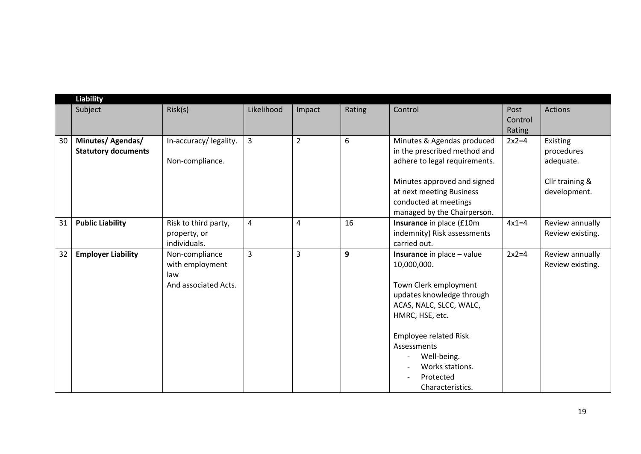|    | <b>Liability</b>                                |                                                                  |                         |                |        |                                                                                                                                                                                                                                                                        |                           |                                                                        |
|----|-------------------------------------------------|------------------------------------------------------------------|-------------------------|----------------|--------|------------------------------------------------------------------------------------------------------------------------------------------------------------------------------------------------------------------------------------------------------------------------|---------------------------|------------------------------------------------------------------------|
|    | Subject                                         | Risk(s)                                                          | Likelihood              | Impact         | Rating | Control                                                                                                                                                                                                                                                                | Post<br>Control<br>Rating | <b>Actions</b>                                                         |
| 30 | Minutes/ Agendas/<br><b>Statutory documents</b> | In-accuracy/legality.<br>Non-compliance.                         | $\mathsf{3}$            | $\overline{2}$ | 6      | Minutes & Agendas produced<br>in the prescribed method and<br>adhere to legal requirements.<br>Minutes approved and signed<br>at next meeting Business<br>conducted at meetings<br>managed by the Chairperson.                                                         | $2x2=4$                   | Existing<br>procedures<br>adequate.<br>Cllr training &<br>development. |
| 31 | <b>Public Liability</b>                         | Risk to third party,<br>property, or<br>individuals.             | $\overline{\mathbf{4}}$ | 4              | 16     | Insurance in place (£10m<br>indemnity) Risk assessments<br>carried out.                                                                                                                                                                                                | $4x1=4$                   | Review annually<br>Review existing.                                    |
| 32 | <b>Employer Liability</b>                       | Non-compliance<br>with employment<br>law<br>And associated Acts. | 3                       | $\overline{3}$ | 9      | <b>Insurance</b> in place - value<br>10,000,000.<br>Town Clerk employment<br>updates knowledge through<br>ACAS, NALC, SLCC, WALC,<br>HMRC, HSE, etc.<br><b>Employee related Risk</b><br>Assessments<br>Well-being.<br>Works stations.<br>Protected<br>Characteristics. | $2x2=4$                   | Review annually<br>Review existing.                                    |